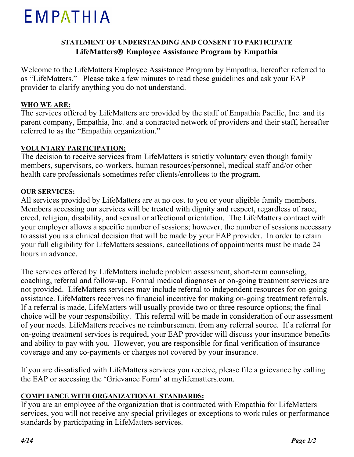# EMPATHIA

## **STATEMENT OF UNDERSTANDING AND CONSENT TO PARTICIPATE LifeMatters Employee Assistance Program by Empathia**

Welcome to the LifeMatters Employee Assistance Program by Empathia, hereafter referred to as "LifeMatters." Please take a few minutes to read these guidelines and ask your EAP provider to clarify anything you do not understand.

#### **WHO WE ARE:**

The services offered by LifeMatters are provided by the staff of Empathia Pacific, Inc. and its parent company, Empathia, Inc. and a contracted network of providers and their staff, hereafter referred to as the "Empathia organization."

#### **VOLUNTARY PARTICIPATION:**

The decision to receive services from LifeMatters is strictly voluntary even though family members, supervisors, co-workers, human resources/personnel, medical staff and/or other health care professionals sometimes refer clients/enrollees to the program.

#### **OUR SERVICES:**

All services provided by LifeMatters are at no cost to you or your eligible family members. Members accessing our services will be treated with dignity and respect, regardless of race, creed, religion, disability, and sexual or affectional orientation. The LifeMatters contract with your employer allows a specific number of sessions; however, the number of sessions necessary to assist you is a clinical decision that will be made by your EAP provider. In order to retain your full eligibility for LifeMatters sessions, cancellations of appointments must be made 24 hours in advance.

The services offered by LifeMatters include problem assessment, short-term counseling, coaching, referral and follow-up. Formal medical diagnoses or on-going treatment services are not provided. LifeMatters services may include referral to independent resources for on-going assistance. LifeMatters receives no financial incentive for making on-going treatment referrals. If a referral is made, LifeMatters will usually provide two or three resource options; the final choice will be your responsibility. This referral will be made in consideration of our assessment of your needs. LifeMatters receives no reimbursement from any referral source. If a referral for on-going treatment services is required, your EAP provider will discuss your insurance benefits and ability to pay with you. However, you are responsible for final verification of insurance coverage and any co-payments or charges not covered by your insurance.

If you are dissatisfied with LifeMatters services you receive, please file a grievance by calling the EAP or accessing the 'Grievance Form' at mylifematters.com.

## **COMPLIANCE WITH ORGANIZATIONAL STANDARDS:**

If you are an employee of the organization that is contracted with Empathia for LifeMatters services, you will not receive any special privileges or exceptions to work rules or performance standards by participating in LifeMatters services.